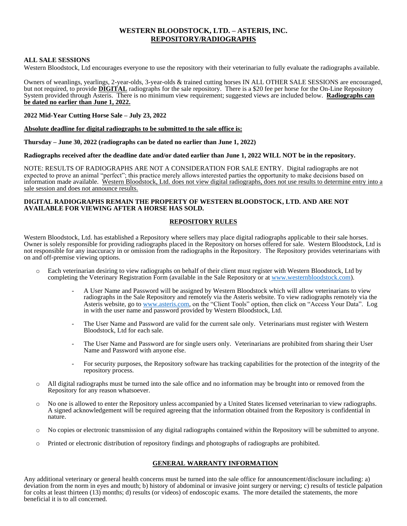# **WESTERN BLOODSTOCK, LTD. – ASTERIS, INC. REPOSITORY/RADIOGRAPHS**

# **ALL SALE SESSIONS**

Western Bloodstock, Ltd encourages everyone to use the repository with their veterinarian to fully evaluate the radiographs available.

Owners of weanlings, yearlings, 2-year-olds, 3-year-olds & trained cutting horses IN ALL OTHER SALE SESSIONS are encouraged, but not required, to provide **DIGITAL** radiographs for the sale repository. There is a \$20 fee per horse for the On-Line Repository System provided through Asteris. There is no minimum view requirement; suggested views are included below. **Radiographs can be dated no earlier than June 1, 2022.**

# **2022 Mid-Year Cutting Horse Sale – July 23, 2022**

#### **Absolute deadline for digital radiographs to be submitted to the sale office is:**

**Thursday – June 30, 2022 (radiographs can be dated no earlier than June 1, 2022)**

# **Radiographs received after the deadline date and/or dated earlier than June 1, 2022 WILL NOT be in the repository.**

NOTE: RESULTS OF RADIOGRAPHS ARE NOT A CONSIDERATION FOR SALE ENTRY. Digital radiographs are not expected to prove an animal "perfect"; this practice merely allows interested parties the opportunity to make decisions based on information made available. Western Bloodstock, Ltd. does not view digital radiographs, does not use results to determine entry into a sale session and does not announce results.

#### **DIGITAL RADIOGRAPHS REMAIN THE PROPERTY OF WESTERN BLOODSTOCK, LTD. AND ARE NOT AVAILABLE FOR VIEWING AFTER A HORSE HAS SOLD.**

# **REPOSITORY RULES**

Western Bloodstock, Ltd. has established a Repository where sellers may place digital radiographs applicable to their sale horses. Owner is solely responsible for providing radiographs placed in the Repository on horses offered for sale. Western Bloodstock, Ltd is not responsible for any inaccuracy in or omission from the radiographs in the Repository. The Repository provides veterinarians with on and off-premise viewing options.

- o Each veterinarian desiring to view radiographs on behalf of their client must register with Western Bloodstock, Ltd by completing the Veterinary Registration Form (available in the Sale Repository or a[t www.westernbloodstock.com\)](http://www.westernbloodstock.com/).
	- A User Name and Password will be assigned by Western Bloodstock which will allow veterinarians to view radiographs in the Sale Repository and remotely via the Asteris website. To view radiographs remotely via the Asteris website, go to [www.asteris.com,](http://www.asteris.com/) on the "Client Tools" option, then click on "Access Your Data". Log in with the user name and password provided by Western Bloodstock, Ltd.
	- The User Name and Password are valid for the current sale only. Veterinarians must register with Western Bloodstock, Ltd for each sale.
	- The User Name and Password are for single users only. Veterinarians are prohibited from sharing their User Name and Password with anyone else.
	- For security purposes, the Repository software has tracking capabilities for the protection of the integrity of the repository process.
- o All digital radiographs must be turned into the sale office and no information may be brought into or removed from the Repository for any reason whatsoever.
- o No one is allowed to enter the Repository unless accompanied by a United States licensed veterinarian to view radiographs. A signed acknowledgement will be required agreeing that the information obtained from the Repository is confidential in nature.
- o No copies or electronic transmission of any digital radiographs contained within the Repository will be submitted to anyone.
- o Printed or electronic distribution of repository findings and photographs of radiographs are prohibited.

# **GENERAL WARRANTY INFORMATION**

Any additional veterinary or general health concerns must be turned into the sale office for announcement/disclosure including: a) deviation from the norm in eyes and mouth; b) history of abdominal or invasive joint surgery or nerving; c) results of testicle palpation for colts at least thirteen (13) months; d) results (or videos) of endoscopic exams. The more detailed the statements, the more beneficial it is to all concerned.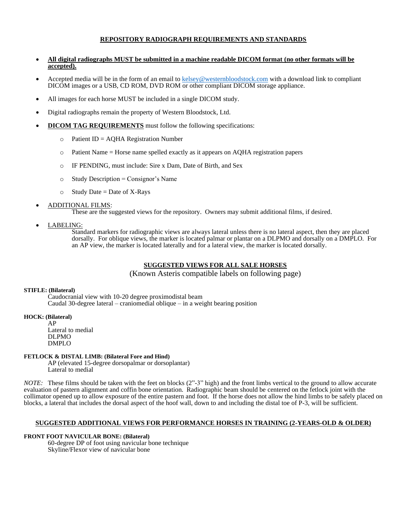# **REPOSITORY RADIOGRAPH REQUIREMENTS AND STANDARDS**

- **All digital radiographs MUST be submitted in a machine readable DICOM format (no other formats will be accepted).**
- Accepted media will be in the form of an email to [kelsey@westernbloodstock.com](mailto:kelsey@westernbloodstock.com) with a download link to compliant DICOM images or a USB, CD ROM, DVD ROM or other compliant DICOM storage appliance.
- All images for each horse MUST be included in a single DICOM study.
- Digital radiographs remain the property of Western Bloodstock, Ltd.
- **DICOM TAG REQUIREMENTS** must follow the following specifications:
	- $\circ$  Patient ID = AQHA Registration Number
	- $\circ$  Patient Name = Horse name spelled exactly as it appears on AQHA registration papers
	- o IF PENDING, must include: Sire x Dam, Date of Birth, and Sex
	- $\circ$  Study Description = Consignor's Name
	- $\circ$  Study Date = Date of X-Rays
- ADDITIONAL FILMS:

These are the suggested views for the repository. Owners may submit additional films, if desired.

• LABELING:

Standard markers for radiographic views are always lateral unless there is no lateral aspect, then they are placed dorsally. For oblique views, the marker is located palmar or plantar on a DLPMO and dorsally on a DMPLO. For an AP view, the marker is located laterally and for a lateral view, the marker is located dorsally.

# **SUGGESTED VIEWS FOR ALL SALE HORSES**

(Known Asteris compatible labels on following page)

# **STIFLE: (Bilateral)**

Caudocranial view with 10-20 degree proximodistal beam Caudal 30-degree lateral – craniomedial oblique – in a weight bearing position

# **HOCK: (Bilateral)**

AP Lateral to medial DLPMO DMPLO

# **FETLOCK & DISTAL LIMB: (Bilateral Fore and Hind)**

AP (elevated 15-degree dorsopalmar or dorsoplantar) Lateral to medial

*NOTE*: These films should be taken with the feet on blocks (2"-3" high) and the front limbs vertical to the ground to allow accurate evaluation of pastern alignment and coffin bone orientation. Radiographic beam should be centered on the fetlock joint with the collimator opened up to allow exposure of the entire pastern and foot. If the horse does not allow the hind limbs to be safely placed on blocks, a lateral that includes the dorsal aspect of the hoof wall, down to and including the distal toe of P-3, will be sufficient.

# **SUGGESTED ADDITIONAL VIEWS FOR PERFORMANCE HORSES IN TRAINING (2-YEARS-OLD & OLDER)**

# **FRONT FOOT NAVICULAR BONE: (Bilateral)**

60-degree DP of foot using navicular bone technique Skyline/Flexor view of navicular bone